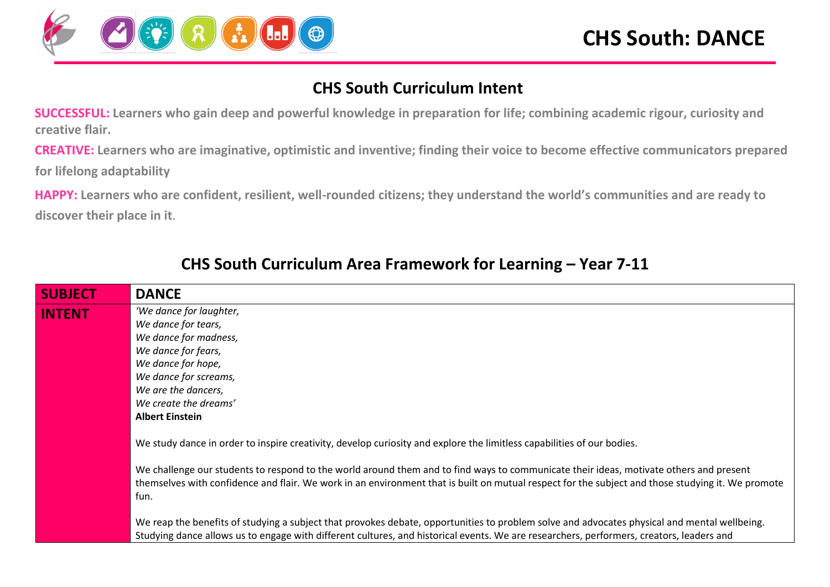

#### **CHS South Curriculum Intent**

**SUCCESSFUL: Learners who gain deep and powerful knowledge in preparation for life; combining academic rigour, curiosity and creative flair.**

**CREATIVE: Learners who are imaginative, optimistic and inventive; finding their voice to become effective communicators prepared for lifelong adaptability** 

**HAPPY: Learners who are confident, resilient, well-rounded citizens; they understand the world's communities and are ready to discover their place in it.** 

| <b>SUBJECT</b> | <b>DANCE</b>                                                                                                                                                                                                                                                                                        |
|----------------|-----------------------------------------------------------------------------------------------------------------------------------------------------------------------------------------------------------------------------------------------------------------------------------------------------|
| <b>INTENT</b>  | 'We dance for laughter,                                                                                                                                                                                                                                                                             |
|                | We dance for tears,                                                                                                                                                                                                                                                                                 |
|                | We dance for madness,                                                                                                                                                                                                                                                                               |
|                | We dance for fears,                                                                                                                                                                                                                                                                                 |
|                | We dance for hope,                                                                                                                                                                                                                                                                                  |
|                | We dance for screams,                                                                                                                                                                                                                                                                               |
|                | We are the dancers,                                                                                                                                                                                                                                                                                 |
|                | We create the dreams'                                                                                                                                                                                                                                                                               |
|                | <b>Albert Einstein</b>                                                                                                                                                                                                                                                                              |
|                | We study dance in order to inspire creativity, develop curiosity and explore the limitless capabilities of our bodies.                                                                                                                                                                              |
|                | We challenge our students to respond to the world around them and to find ways to communicate their ideas, motivate others and present<br>themselves with confidence and flair. We work in an environment that is built on mutual respect for the subject and those studying it. We promote<br>fun. |
|                | We reap the benefits of studying a subject that provokes debate, opportunities to problem solve and advocates physical and mental wellbeing.<br>Studying dance allows us to engage with different cultures, and historical events. We are researchers, performers, creators, leaders and            |

#### **CHS South Curriculum Area Framework for Learning – Year 7-11**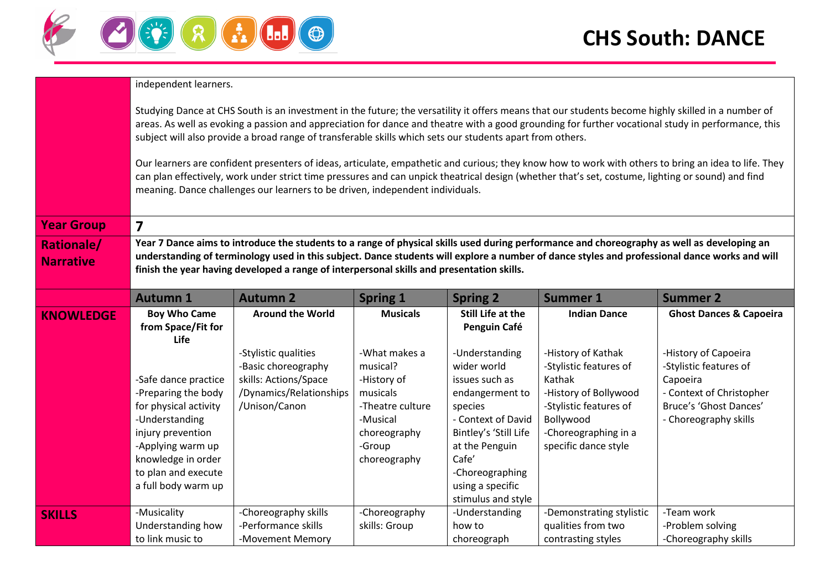

|                                       | independent learners.                                                                                                                                                                                                                                                                                                                                                                                                                                                                                                                                                                                                                                                                                                                                                                                               |                                                                                                                                                                                                                                                                                                                                                                                           |                                                                                                                                |                                                                                                                                                                                                                      |                                                                                                                                                                        |                                                                                                                                           |  |  |  |
|---------------------------------------|---------------------------------------------------------------------------------------------------------------------------------------------------------------------------------------------------------------------------------------------------------------------------------------------------------------------------------------------------------------------------------------------------------------------------------------------------------------------------------------------------------------------------------------------------------------------------------------------------------------------------------------------------------------------------------------------------------------------------------------------------------------------------------------------------------------------|-------------------------------------------------------------------------------------------------------------------------------------------------------------------------------------------------------------------------------------------------------------------------------------------------------------------------------------------------------------------------------------------|--------------------------------------------------------------------------------------------------------------------------------|----------------------------------------------------------------------------------------------------------------------------------------------------------------------------------------------------------------------|------------------------------------------------------------------------------------------------------------------------------------------------------------------------|-------------------------------------------------------------------------------------------------------------------------------------------|--|--|--|
|                                       | Studying Dance at CHS South is an investment in the future; the versatility it offers means that our students become highly skilled in a number of<br>areas. As well as evoking a passion and appreciation for dance and theatre with a good grounding for further vocational study in performance, this<br>subject will also provide a broad range of transferable skills which sets our students apart from others.<br>Our learners are confident presenters of ideas, articulate, empathetic and curious; they know how to work with others to bring an idea to life. They<br>can plan effectively, work under strict time pressures and can unpick theatrical design (whether that's set, costume, lighting or sound) and find<br>meaning. Dance challenges our learners to be driven, independent individuals. |                                                                                                                                                                                                                                                                                                                                                                                           |                                                                                                                                |                                                                                                                                                                                                                      |                                                                                                                                                                        |                                                                                                                                           |  |  |  |
| <b>Year Group</b>                     | $\overline{\mathbf{z}}$                                                                                                                                                                                                                                                                                                                                                                                                                                                                                                                                                                                                                                                                                                                                                                                             |                                                                                                                                                                                                                                                                                                                                                                                           |                                                                                                                                |                                                                                                                                                                                                                      |                                                                                                                                                                        |                                                                                                                                           |  |  |  |
| <b>Rationale/</b><br><b>Narrative</b> |                                                                                                                                                                                                                                                                                                                                                                                                                                                                                                                                                                                                                                                                                                                                                                                                                     | Year 7 Dance aims to introduce the students to a range of physical skills used during performance and choreography as well as developing an<br>understanding of terminology used in this subject. Dance students will explore a number of dance styles and professional dance works and will<br>finish the year having developed a range of interpersonal skills and presentation skills. |                                                                                                                                |                                                                                                                                                                                                                      |                                                                                                                                                                        |                                                                                                                                           |  |  |  |
|                                       | <b>Autumn 1</b>                                                                                                                                                                                                                                                                                                                                                                                                                                                                                                                                                                                                                                                                                                                                                                                                     | <b>Autumn 2</b>                                                                                                                                                                                                                                                                                                                                                                           | <b>Spring 1</b>                                                                                                                | <b>Spring 2</b>                                                                                                                                                                                                      | <b>Summer 1</b>                                                                                                                                                        | <b>Summer 2</b>                                                                                                                           |  |  |  |
| <b>KNOWLEDGE</b>                      | <b>Boy Who Came</b><br>from Space/Fit for<br>Life                                                                                                                                                                                                                                                                                                                                                                                                                                                                                                                                                                                                                                                                                                                                                                   | <b>Around the World</b>                                                                                                                                                                                                                                                                                                                                                                   | <b>Musicals</b>                                                                                                                | Still Life at the<br>Penguin Café                                                                                                                                                                                    | <b>Indian Dance</b>                                                                                                                                                    | <b>Ghost Dances &amp; Capoeira</b>                                                                                                        |  |  |  |
|                                       | -Safe dance practice<br>-Preparing the body<br>for physical activity<br>-Understanding<br>injury prevention<br>-Applying warm up<br>knowledge in order<br>to plan and execute<br>a full body warm up                                                                                                                                                                                                                                                                                                                                                                                                                                                                                                                                                                                                                | -Stylistic qualities<br>-Basic choreography<br>skills: Actions/Space<br>/Dynamics/Relationships<br>/Unison/Canon                                                                                                                                                                                                                                                                          | -What makes a<br>musical?<br>-History of<br>musicals<br>-Theatre culture<br>-Musical<br>choreography<br>-Group<br>choreography | -Understanding<br>wider world<br>issues such as<br>endangerment to<br>species<br>- Context of David<br>Bintley's 'Still Life<br>at the Penguin<br>Cafe'<br>-Choreographing<br>using a specific<br>stimulus and style | -History of Kathak<br>-Stylistic features of<br>Kathak<br>-History of Bollywood<br>-Stylistic features of<br>Bollywood<br>-Choreographing in a<br>specific dance style | -History of Capoeira<br>-Stylistic features of<br>Capoeira<br>- Context of Christopher<br>Bruce's 'Ghost Dances'<br>- Choreography skills |  |  |  |
| <b>SKILLS</b>                         | -Musicality<br>Understanding how<br>to link music to                                                                                                                                                                                                                                                                                                                                                                                                                                                                                                                                                                                                                                                                                                                                                                | -Choreography skills<br>-Performance skills<br>-Movement Memory                                                                                                                                                                                                                                                                                                                           | -Choreography<br>skills: Group                                                                                                 | -Understanding<br>how to<br>choreograph                                                                                                                                                                              | -Demonstrating stylistic<br>qualities from two<br>contrasting styles                                                                                                   | -Team work<br>-Problem solving<br>-Choreography skills                                                                                    |  |  |  |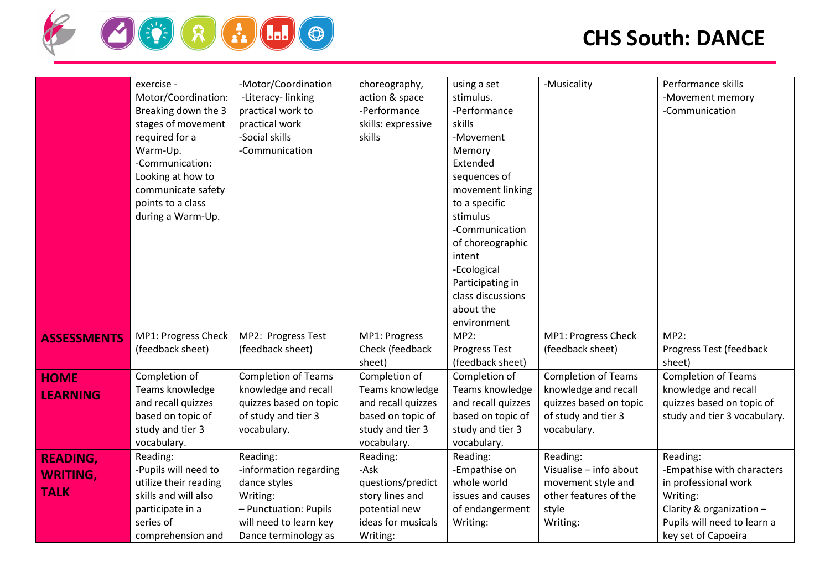

|                                                   | exercise -<br>Motor/Coordination:<br>Breaking down the 3<br>stages of movement<br>required for a<br>Warm-Up.<br>-Communication:<br>Looking at how to<br>communicate safety<br>points to a class<br>during a Warm-Up. | -Motor/Coordination<br>-Literacy-linking<br>practical work to<br>practical work<br>-Social skills<br>-Communication                       | choreography,<br>action & space<br>-Performance<br>skills: expressive<br>skills                                | using a set<br>stimulus.<br>-Performance<br>skills<br>-Movement<br>Memory<br>Extended<br>sequences of<br>movement linking<br>to a specific<br>stimulus<br>-Communication<br>of choreographic<br>intent<br>-Ecological<br>Participating in<br>class discussions<br>about the<br>environment | -Musicality                                                                                                        | Performance skills<br>-Movement memory<br>-Communication                                                                                                     |
|---------------------------------------------------|----------------------------------------------------------------------------------------------------------------------------------------------------------------------------------------------------------------------|-------------------------------------------------------------------------------------------------------------------------------------------|----------------------------------------------------------------------------------------------------------------|--------------------------------------------------------------------------------------------------------------------------------------------------------------------------------------------------------------------------------------------------------------------------------------------|--------------------------------------------------------------------------------------------------------------------|--------------------------------------------------------------------------------------------------------------------------------------------------------------|
| <b>ASSESSMENTS</b>                                | MP1: Progress Check<br>(feedback sheet)                                                                                                                                                                              | MP2: Progress Test<br>(feedback sheet)                                                                                                    | MP1: Progress<br>Check (feedback<br>sheet)                                                                     | <b>MP2:</b><br>Progress Test<br>(feedback sheet)                                                                                                                                                                                                                                           | MP1: Progress Check<br>(feedback sheet)                                                                            | MP2:<br>Progress Test (feedback<br>sheet)                                                                                                                    |
| <b>HOME</b><br><b>LEARNING</b>                    | Completion of<br>Teams knowledge<br>and recall quizzes<br>based on topic of<br>study and tier 3<br>vocabulary.                                                                                                       | <b>Completion of Teams</b><br>knowledge and recall<br>quizzes based on topic<br>of study and tier 3<br>vocabulary.                        | Completion of<br>Teams knowledge<br>and recall quizzes<br>based on topic of<br>study and tier 3<br>vocabulary. | Completion of<br>Teams knowledge<br>and recall quizzes<br>based on topic of<br>study and tier 3<br>vocabulary.                                                                                                                                                                             | <b>Completion of Teams</b><br>knowledge and recall<br>quizzes based on topic<br>of study and tier 3<br>vocabulary. | <b>Completion of Teams</b><br>knowledge and recall<br>quizzes based on topic of<br>study and tier 3 vocabulary.                                              |
| <b>READING,</b><br><b>WRITING,</b><br><b>TALK</b> | Reading:<br>-Pupils will need to<br>utilize their reading<br>skills and will also<br>participate in a<br>series of<br>comprehension and                                                                              | Reading:<br>-information regarding<br>dance styles<br>Writing:<br>- Punctuation: Pupils<br>will need to learn key<br>Dance terminology as | Reading:<br>-Ask<br>questions/predict<br>story lines and<br>potential new<br>ideas for musicals<br>Writing:    | Reading:<br>-Empathise on<br>whole world<br>issues and causes<br>of endangerment<br>Writing:                                                                                                                                                                                               | Reading:<br>Visualise - info about<br>movement style and<br>other features of the<br>style<br>Writing:             | Reading:<br>-Empathise with characters<br>in professional work<br>Writing:<br>Clarity & organization -<br>Pupils will need to learn a<br>key set of Capoeira |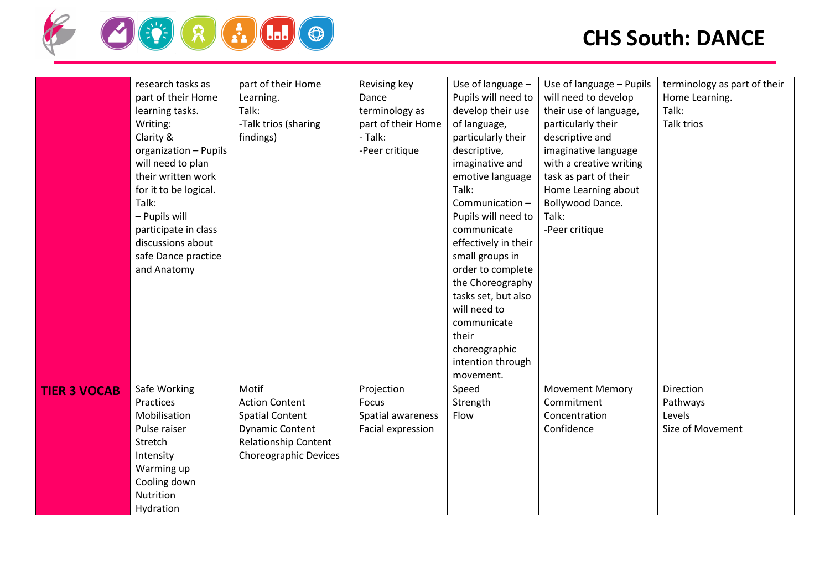

|                     | research tasks as     | part of their Home           | Revising key       | Use of language -    | Use of language - Pupils | terminology as part of their |
|---------------------|-----------------------|------------------------------|--------------------|----------------------|--------------------------|------------------------------|
|                     | part of their Home    | Learning.                    | Dance              | Pupils will need to  | will need to develop     | Home Learning.               |
|                     | learning tasks.       | Talk:                        | terminology as     | develop their use    | their use of language,   | Talk:                        |
|                     | Writing:              | -Talk trios (sharing         | part of their Home | of language,         | particularly their       | Talk trios                   |
|                     | Clarity &             | findings)                    | - Talk:            | particularly their   | descriptive and          |                              |
|                     | organization - Pupils |                              | -Peer critique     | descriptive,         | imaginative language     |                              |
|                     | will need to plan     |                              |                    | imaginative and      | with a creative writing  |                              |
|                     | their written work    |                              |                    | emotive language     | task as part of their    |                              |
|                     | for it to be logical. |                              |                    | Talk:                | Home Learning about      |                              |
|                     | Talk:                 |                              |                    | Communication-       | Bollywood Dance.         |                              |
|                     | - Pupils will         |                              |                    | Pupils will need to  | Talk:                    |                              |
|                     | participate in class  |                              |                    | communicate          | -Peer critique           |                              |
|                     | discussions about     |                              |                    | effectively in their |                          |                              |
|                     | safe Dance practice   |                              |                    | small groups in      |                          |                              |
|                     | and Anatomy           |                              |                    | order to complete    |                          |                              |
|                     |                       |                              |                    | the Choreography     |                          |                              |
|                     |                       |                              |                    | tasks set, but also  |                          |                              |
|                     |                       |                              |                    | will need to         |                          |                              |
|                     |                       |                              |                    |                      |                          |                              |
|                     |                       |                              |                    | communicate          |                          |                              |
|                     |                       |                              |                    | their                |                          |                              |
|                     |                       |                              |                    | choreographic        |                          |                              |
|                     |                       |                              |                    | intention through    |                          |                              |
|                     |                       |                              |                    | movement.            |                          |                              |
| <b>TIER 3 VOCAB</b> | Safe Working          | Motif                        | Projection         | Speed                | <b>Movement Memory</b>   | Direction                    |
|                     | Practices             | <b>Action Content</b>        | Focus              | Strength             | Commitment               | Pathways                     |
|                     | Mobilisation          | <b>Spatial Content</b>       | Spatial awareness  | Flow                 | Concentration            | Levels                       |
|                     | Pulse raiser          | <b>Dynamic Content</b>       | Facial expression  |                      | Confidence               | Size of Movement             |
|                     | Stretch               | <b>Relationship Content</b>  |                    |                      |                          |                              |
|                     | Intensity             | <b>Choreographic Devices</b> |                    |                      |                          |                              |
|                     | Warming up            |                              |                    |                      |                          |                              |
|                     | Cooling down          |                              |                    |                      |                          |                              |
|                     | Nutrition             |                              |                    |                      |                          |                              |
|                     | Hydration             |                              |                    |                      |                          |                              |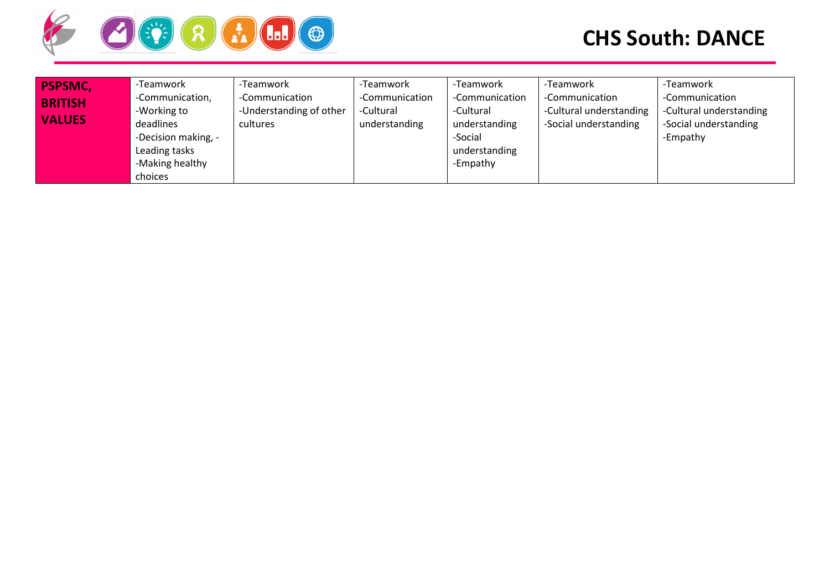

| <b>PSPSMC,</b><br><b>BRITISH</b><br><b>VALUES</b> | -Teamwork<br>-Communication,<br>-Working to<br>deadlines<br>-Decision making, -<br>Leading tasks<br>-Making healthy<br>choices | Teamwork<br>-Communication<br>-Understanding of other<br>cultures | -Teamwork<br>Communication<br>-Cultural<br>understanding | -Teamwork<br>-Communication<br>-Cultural<br>understanding<br>-Social<br>understanding<br>-Empathy | -Teamwork<br>-Communication<br>-Cultural understanding<br>-Social understanding | -Teamwork<br>-Communication<br>-Cultural understanding<br>-Social understanding<br>-Empathy |
|---------------------------------------------------|--------------------------------------------------------------------------------------------------------------------------------|-------------------------------------------------------------------|----------------------------------------------------------|---------------------------------------------------------------------------------------------------|---------------------------------------------------------------------------------|---------------------------------------------------------------------------------------------|
|---------------------------------------------------|--------------------------------------------------------------------------------------------------------------------------------|-------------------------------------------------------------------|----------------------------------------------------------|---------------------------------------------------------------------------------------------------|---------------------------------------------------------------------------------|---------------------------------------------------------------------------------------------|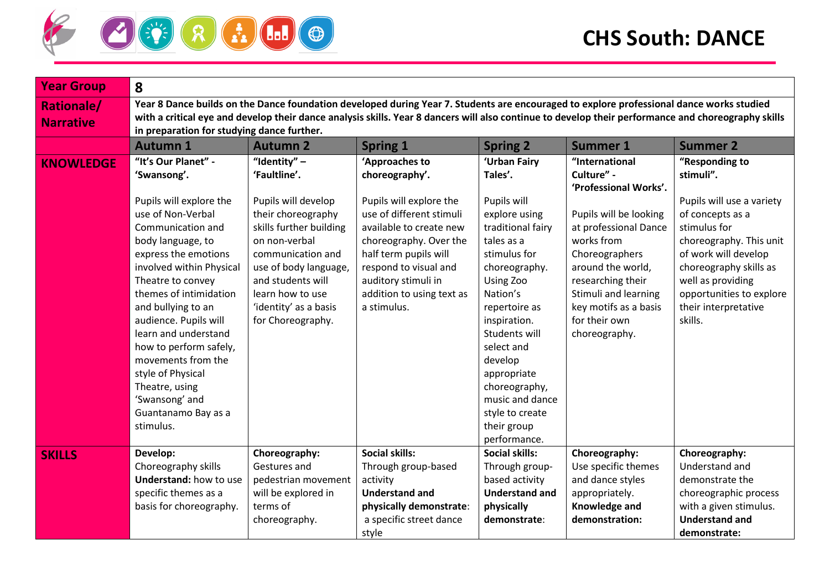

| <b>Year Group</b>                     | 8                                                                                                                                                                                                                                                                                                                                                                                                             |                                                                                                                                                                                                                            |                                                                                                                                                                                                                               |                                                                                                                                                                                                                                                                                                           |                                                                                                                                                                                                              |                                                                                                                                                                                                                                |  |  |
|---------------------------------------|---------------------------------------------------------------------------------------------------------------------------------------------------------------------------------------------------------------------------------------------------------------------------------------------------------------------------------------------------------------------------------------------------------------|----------------------------------------------------------------------------------------------------------------------------------------------------------------------------------------------------------------------------|-------------------------------------------------------------------------------------------------------------------------------------------------------------------------------------------------------------------------------|-----------------------------------------------------------------------------------------------------------------------------------------------------------------------------------------------------------------------------------------------------------------------------------------------------------|--------------------------------------------------------------------------------------------------------------------------------------------------------------------------------------------------------------|--------------------------------------------------------------------------------------------------------------------------------------------------------------------------------------------------------------------------------|--|--|
| <b>Rationale/</b><br><b>Narrative</b> | Year 8 Dance builds on the Dance foundation developed during Year 7. Students are encouraged to explore professional dance works studied<br>with a critical eye and develop their dance analysis skills. Year 8 dancers will also continue to develop their performance and choreography skills<br>in preparation for studying dance further.                                                                 |                                                                                                                                                                                                                            |                                                                                                                                                                                                                               |                                                                                                                                                                                                                                                                                                           |                                                                                                                                                                                                              |                                                                                                                                                                                                                                |  |  |
|                                       | <b>Autumn 1</b>                                                                                                                                                                                                                                                                                                                                                                                               | <b>Autumn 2</b>                                                                                                                                                                                                            | <b>Spring 1</b>                                                                                                                                                                                                               | <b>Spring 2</b>                                                                                                                                                                                                                                                                                           | <b>Summer 1</b>                                                                                                                                                                                              | <b>Summer 2</b>                                                                                                                                                                                                                |  |  |
| <b>KNOWLEDGE</b>                      | "It's Our Planet" -<br>'Swansong'.                                                                                                                                                                                                                                                                                                                                                                            | "Identity" $-$<br>'Faultline'.                                                                                                                                                                                             | 'Approaches to<br>choreography'.                                                                                                                                                                                              | 'Urban Fairy<br>Tales'.                                                                                                                                                                                                                                                                                   | "International<br>Culture" -<br>'Professional Works'.                                                                                                                                                        | "Responding to<br>stimuli".                                                                                                                                                                                                    |  |  |
|                                       | Pupils will explore the<br>use of Non-Verbal<br>Communication and<br>body language, to<br>express the emotions<br>involved within Physical<br>Theatre to convey<br>themes of intimidation<br>and bullying to an<br>audience. Pupils will<br>learn and understand<br>how to perform safely,<br>movements from the<br>style of Physical<br>Theatre, using<br>'Swansong' and<br>Guantanamo Bay as a<br>stimulus. | Pupils will develop<br>their choreography<br>skills further building<br>on non-verbal<br>communication and<br>use of body language,<br>and students will<br>learn how to use<br>'identity' as a basis<br>for Choreography. | Pupils will explore the<br>use of different stimuli<br>available to create new<br>choreography. Over the<br>half term pupils will<br>respond to visual and<br>auditory stimuli in<br>addition to using text as<br>a stimulus. | Pupils will<br>explore using<br>traditional fairy<br>tales as a<br>stimulus for<br>choreography.<br>Using Zoo<br>Nation's<br>repertoire as<br>inspiration.<br>Students will<br>select and<br>develop<br>appropriate<br>choreography,<br>music and dance<br>style to create<br>their group<br>performance. | Pupils will be looking<br>at professional Dance<br>works from<br>Choreographers<br>around the world,<br>researching their<br>Stimuli and learning<br>key motifs as a basis<br>for their own<br>choreography. | Pupils will use a variety<br>of concepts as a<br>stimulus for<br>choreography. This unit<br>of work will develop<br>choreography skills as<br>well as providing<br>opportunities to explore<br>their interpretative<br>skills. |  |  |
| <b>SKILLS</b>                         | Develop:<br>Choreography skills<br><b>Understand: how to use</b><br>specific themes as a<br>basis for choreography.                                                                                                                                                                                                                                                                                           | Choreography:<br>Gestures and<br>pedestrian movement<br>will be explored in<br>terms of<br>choreography.                                                                                                                   | <b>Social skills:</b><br>Through group-based<br>activity<br><b>Understand and</b><br>physically demonstrate:<br>a specific street dance                                                                                       | <b>Social skills:</b><br>Through group-<br>based activity<br><b>Understand and</b><br>physically<br>demonstrate:                                                                                                                                                                                          | Choreography:<br>Use specific themes<br>and dance styles<br>appropriately.<br>Knowledge and<br>demonstration:                                                                                                | Choreography:<br>Understand and<br>demonstrate the<br>choreographic process<br>with a given stimulus.<br><b>Understand and</b>                                                                                                 |  |  |
|                                       |                                                                                                                                                                                                                                                                                                                                                                                                               |                                                                                                                                                                                                                            | style                                                                                                                                                                                                                         |                                                                                                                                                                                                                                                                                                           |                                                                                                                                                                                                              | demonstrate:                                                                                                                                                                                                                   |  |  |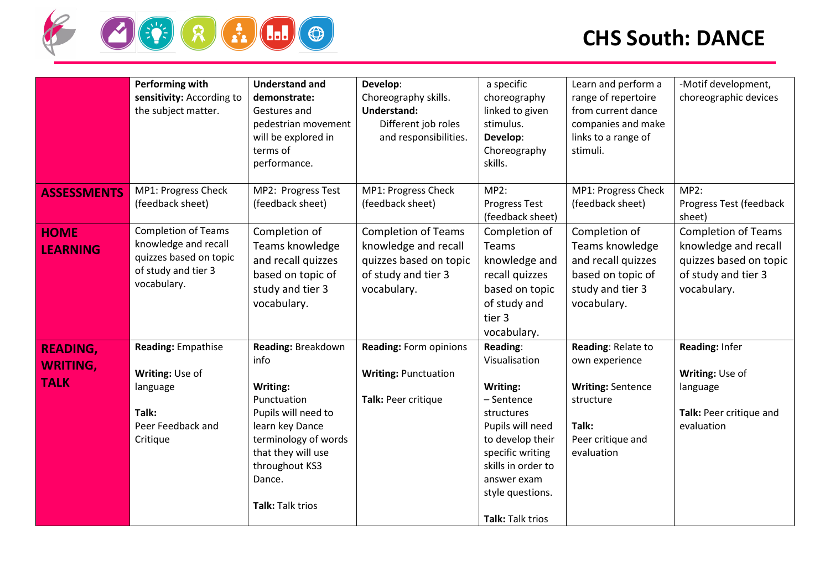

|                                                   | Performing with<br>sensitivity: According to<br>the subject matter.                                                | <b>Understand and</b><br>demonstrate:<br>Gestures and<br>pedestrian movement<br>will be explored in<br>terms of<br>performance.                                                               | Develop:<br>Choreography skills.<br><b>Understand:</b><br>Different job roles<br>and responsibilities.             | a specific<br>choreography<br>linked to given<br>stimulus.<br>Develop:<br>Choreography<br>skills.                                                                                                          | Learn and perform a<br>range of repertoire<br>from current dance<br>companies and make<br>links to a range of<br>stimuli. | -Motif development,<br>choreographic devices                                                                       |
|---------------------------------------------------|--------------------------------------------------------------------------------------------------------------------|-----------------------------------------------------------------------------------------------------------------------------------------------------------------------------------------------|--------------------------------------------------------------------------------------------------------------------|------------------------------------------------------------------------------------------------------------------------------------------------------------------------------------------------------------|---------------------------------------------------------------------------------------------------------------------------|--------------------------------------------------------------------------------------------------------------------|
| <b>ASSESSMENTS</b>                                | MP1: Progress Check<br>(feedback sheet)                                                                            | MP2: Progress Test<br>(feedback sheet)                                                                                                                                                        | MP1: Progress Check<br>(feedback sheet)                                                                            | MP2:<br><b>Progress Test</b><br>(feedback sheet)                                                                                                                                                           | MP1: Progress Check<br>(feedback sheet)                                                                                   | <b>MP2:</b><br>Progress Test (feedback<br>sheet)                                                                   |
| <b>HOME</b><br><b>LEARNING</b>                    | <b>Completion of Teams</b><br>knowledge and recall<br>quizzes based on topic<br>of study and tier 3<br>vocabulary. | Completion of<br>Teams knowledge<br>and recall quizzes<br>based on topic of<br>study and tier 3<br>vocabulary.                                                                                | <b>Completion of Teams</b><br>knowledge and recall<br>quizzes based on topic<br>of study and tier 3<br>vocabulary. | Completion of<br>Teams<br>knowledge and<br>recall quizzes<br>based on topic<br>of study and<br>tier 3<br>vocabulary.                                                                                       | Completion of<br>Teams knowledge<br>and recall quizzes<br>based on topic of<br>study and tier 3<br>vocabulary.            | <b>Completion of Teams</b><br>knowledge and recall<br>quizzes based on topic<br>of study and tier 3<br>vocabulary. |
| <b>READING,</b><br><b>WRITING,</b><br><b>TALK</b> | <b>Reading: Empathise</b><br>Writing: Use of<br>language<br>Talk:<br>Peer Feedback and<br>Critique                 | Reading: Breakdown<br>info<br>Writing:<br>Punctuation<br>Pupils will need to<br>learn key Dance<br>terminology of words<br>that they will use<br>throughout KS3<br>Dance.<br>Talk: Talk trios | <b>Reading: Form opinions</b><br><b>Writing: Punctuation</b><br>Talk: Peer critique                                | Reading:<br>Visualisation<br>Writing:<br>- Sentence<br>structures<br>Pupils will need<br>to develop their<br>specific writing<br>skills in order to<br>answer exam<br>style questions.<br>Talk: Talk trios | Reading: Relate to<br>own experience<br><b>Writing: Sentence</b><br>structure<br>Talk:<br>Peer critique and<br>evaluation | Reading: Infer<br>Writing: Use of<br>language<br>Talk: Peer critique and<br>evaluation                             |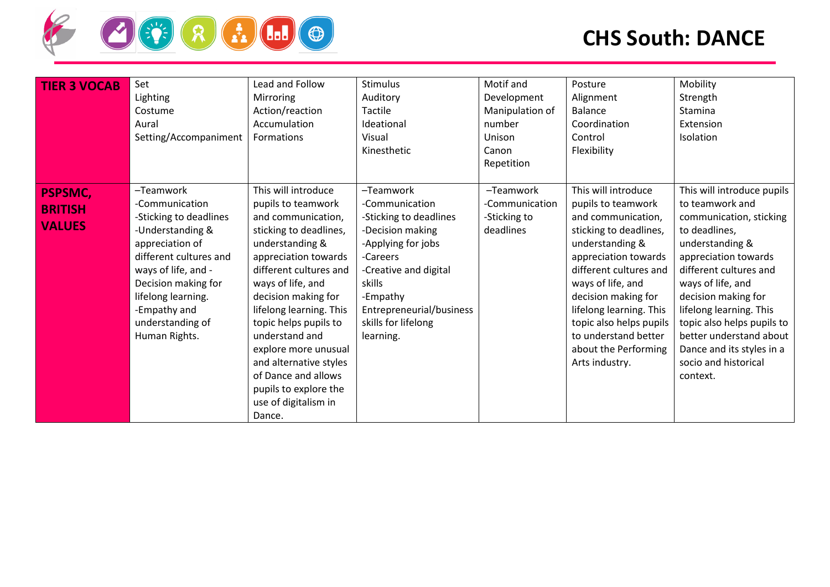

| <b>TIER 3 VOCAB</b>                               | Set<br>Lighting<br>Costume<br>Aural<br>Setting/Accompaniment                                                                                                                                                                                    | Lead and Follow<br>Mirroring<br>Action/reaction<br>Accumulation<br>Formations                                                                                                                                                                                                                                                                                                                                        | <b>Stimulus</b><br>Auditory<br>Tactile<br>Ideational<br>Visual<br>Kinesthetic                                                                                                                                              | Motif and<br>Development<br>Manipulation of<br>number<br>Unison<br>Canon<br>Repetition | Posture<br>Alignment<br><b>Balance</b><br>Coordination<br>Control<br>Flexibility                                                                                                                                                                                                                                                   | Mobility<br>Strength<br>Stamina<br>Extension<br>Isolation                                                                                                                                                                                                                                                                                                       |
|---------------------------------------------------|-------------------------------------------------------------------------------------------------------------------------------------------------------------------------------------------------------------------------------------------------|----------------------------------------------------------------------------------------------------------------------------------------------------------------------------------------------------------------------------------------------------------------------------------------------------------------------------------------------------------------------------------------------------------------------|----------------------------------------------------------------------------------------------------------------------------------------------------------------------------------------------------------------------------|----------------------------------------------------------------------------------------|------------------------------------------------------------------------------------------------------------------------------------------------------------------------------------------------------------------------------------------------------------------------------------------------------------------------------------|-----------------------------------------------------------------------------------------------------------------------------------------------------------------------------------------------------------------------------------------------------------------------------------------------------------------------------------------------------------------|
| <b>PSPSMC,</b><br><b>BRITISH</b><br><b>VALUES</b> | -Teamwork<br>-Communication<br>-Sticking to deadlines<br>-Understanding &<br>appreciation of<br>different cultures and<br>ways of life, and -<br>Decision making for<br>lifelong learning.<br>-Empathy and<br>understanding of<br>Human Rights. | This will introduce<br>pupils to teamwork<br>and communication,<br>sticking to deadlines,<br>understanding &<br>appreciation towards<br>different cultures and<br>ways of life, and<br>decision making for<br>lifelong learning. This<br>topic helps pupils to<br>understand and<br>explore more unusual<br>and alternative styles<br>of Dance and allows<br>pupils to explore the<br>use of digitalism in<br>Dance. | -Teamwork<br>-Communication<br>-Sticking to deadlines<br>-Decision making<br>-Applying for jobs<br>-Careers<br>-Creative and digital<br>skills<br>-Empathy<br>Entrepreneurial/business<br>skills for lifelong<br>learning. | -Teamwork<br>-Communication<br>-Sticking to<br>deadlines                               | This will introduce<br>pupils to teamwork<br>and communication,<br>sticking to deadlines,<br>understanding &<br>appreciation towards<br>different cultures and<br>ways of life, and<br>decision making for<br>lifelong learning. This<br>topic also helps pupils<br>to understand better<br>about the Performing<br>Arts industry. | This will introduce pupils<br>to teamwork and<br>communication, sticking<br>to deadlines,<br>understanding &<br>appreciation towards<br>different cultures and<br>ways of life, and<br>decision making for<br>lifelong learning. This<br>topic also helps pupils to<br>better understand about<br>Dance and its styles in a<br>socio and historical<br>context. |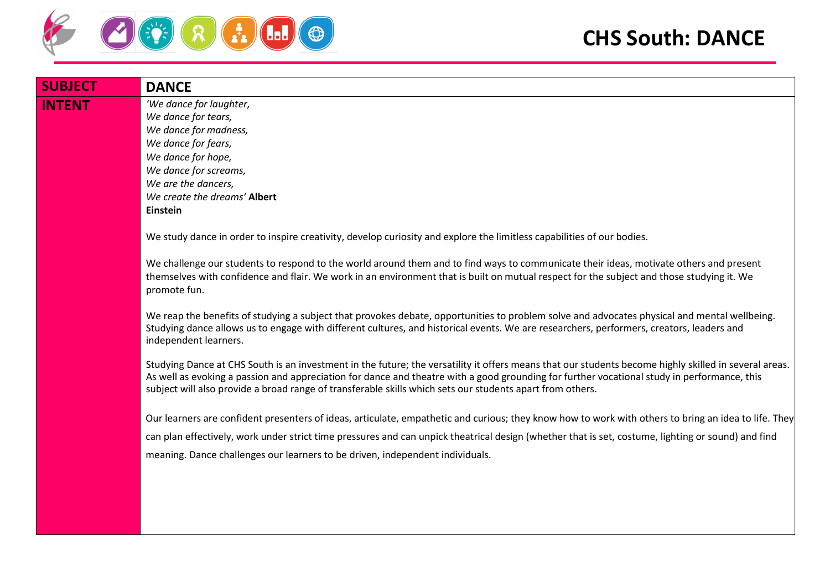

| <b>SUBJECT</b> | <b>DANCE</b>                                                                                                                                                                                                                                                                                                                                                                                                      |
|----------------|-------------------------------------------------------------------------------------------------------------------------------------------------------------------------------------------------------------------------------------------------------------------------------------------------------------------------------------------------------------------------------------------------------------------|
| <b>INTENT</b>  | 'We dance for laughter,<br>We dance for tears,<br>We dance for madness,<br>We dance for fears,<br>We dance for hope,<br>We dance for screams,<br>We are the dancers,<br>We create the dreams' Albert                                                                                                                                                                                                              |
|                | Einstein<br>We study dance in order to inspire creativity, develop curiosity and explore the limitless capabilities of our bodies.                                                                                                                                                                                                                                                                                |
|                | We challenge our students to respond to the world around them and to find ways to communicate their ideas, motivate others and present<br>themselves with confidence and flair. We work in an environment that is built on mutual respect for the subject and those studying it. We<br>promote fun.                                                                                                               |
|                | We reap the benefits of studying a subject that provokes debate, opportunities to problem solve and advocates physical and mental wellbeing.<br>Studying dance allows us to engage with different cultures, and historical events. We are researchers, performers, creators, leaders and<br>independent learners.                                                                                                 |
|                | Studying Dance at CHS South is an investment in the future; the versatility it offers means that our students become highly skilled in several areas.<br>As well as evoking a passion and appreciation for dance and theatre with a good grounding for further vocational study in performance, this<br>subject will also provide a broad range of transferable skills which sets our students apart from others. |
|                | Our learners are confident presenters of ideas, articulate, empathetic and curious; they know how to work with others to bring an idea to life. They                                                                                                                                                                                                                                                              |
|                | can plan effectively, work under strict time pressures and can unpick theatrical design (whether that is set, costume, lighting or sound) and find                                                                                                                                                                                                                                                                |
|                | meaning. Dance challenges our learners to be driven, independent individuals.                                                                                                                                                                                                                                                                                                                                     |
|                |                                                                                                                                                                                                                                                                                                                                                                                                                   |
|                |                                                                                                                                                                                                                                                                                                                                                                                                                   |
|                |                                                                                                                                                                                                                                                                                                                                                                                                                   |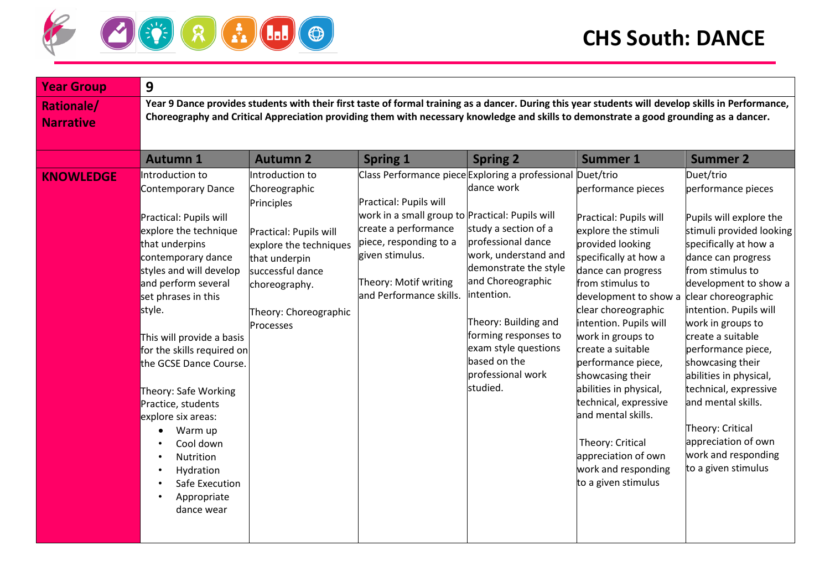

| <b>Rationale/</b><br><b>Narrative</b>                                                                                                                                                                                                                                                                                                                                                                                                                                                                                                                                                                                                                                                                                                                                                                                                                                                                                                                                                                                                                                                                                                                                                                                                                                                                                                                                                                                                                                                                                                                                                                                                                                                                                                                       |                                                                                                                                                                                                                                                                                                                                                                                                                                                                                           |  |  |  |  |  |  |  |  |
|-------------------------------------------------------------------------------------------------------------------------------------------------------------------------------------------------------------------------------------------------------------------------------------------------------------------------------------------------------------------------------------------------------------------------------------------------------------------------------------------------------------------------------------------------------------------------------------------------------------------------------------------------------------------------------------------------------------------------------------------------------------------------------------------------------------------------------------------------------------------------------------------------------------------------------------------------------------------------------------------------------------------------------------------------------------------------------------------------------------------------------------------------------------------------------------------------------------------------------------------------------------------------------------------------------------------------------------------------------------------------------------------------------------------------------------------------------------------------------------------------------------------------------------------------------------------------------------------------------------------------------------------------------------------------------------------------------------------------------------------------------------|-------------------------------------------------------------------------------------------------------------------------------------------------------------------------------------------------------------------------------------------------------------------------------------------------------------------------------------------------------------------------------------------------------------------------------------------------------------------------------------------|--|--|--|--|--|--|--|--|
|                                                                                                                                                                                                                                                                                                                                                                                                                                                                                                                                                                                                                                                                                                                                                                                                                                                                                                                                                                                                                                                                                                                                                                                                                                                                                                                                                                                                                                                                                                                                                                                                                                                                                                                                                             | Year 9 Dance provides students with their first taste of formal training as a dancer. During this year students will develop skills in Performance,<br>Choreography and Critical Appreciation providing them with necessary knowledge and skills to demonstrate a good grounding as a dancer.                                                                                                                                                                                             |  |  |  |  |  |  |  |  |
| <b>Autumn 1</b><br><b>Autumn 2</b><br><b>Spring 1</b><br><b>Spring 2</b><br><b>Summer 1</b>                                                                                                                                                                                                                                                                                                                                                                                                                                                                                                                                                                                                                                                                                                                                                                                                                                                                                                                                                                                                                                                                                                                                                                                                                                                                                                                                                                                                                                                                                                                                                                                                                                                                 | <b>Summer 2</b>                                                                                                                                                                                                                                                                                                                                                                                                                                                                           |  |  |  |  |  |  |  |  |
| Class Performance piece Exploring a professional Duet/trio<br>Introduction to<br>Introduction to<br><b>KNOWLEDGE</b><br>dance work<br>performance pieces<br>Contemporary Dance<br>Choreographic<br>Practical: Pupils will<br>Principles<br>work in a small group to Practical: Pupils will<br>Practical: Pupils will<br>Practical: Pupils will<br>create a performance<br>study a section of a<br>explore the stimuli<br>explore the technique<br>Practical: Pupils will<br>piece, responding to a<br>professional dance<br>provided looking<br>that underpins<br>explore the techniques<br>work, understand and<br>given stimulus.<br>contemporary dance<br>specifically at how a<br>that underpin<br>demonstrate the style<br>styles and will develop<br>dance can progress<br>successful dance<br>and Choreographic<br>Theory: Motif writing<br>and perform several<br>from stimulus to<br>choreography.<br>intention.<br>and Performance skills.<br>set phrases in this<br>development to show a<br>clear choreographic<br>style.<br>Theory: Choreographic<br>Theory: Building and<br>intention. Pupils will<br>Processes<br>forming responses to<br>work in groups to<br>This will provide a basis<br>exam style questions<br>create a suitable<br>for the skills required on<br>based on the<br>performance piece,<br>the GCSE Dance Course.<br>professional work<br>showcasing their<br>studied.<br>abilities in physical,<br>Theory: Safe Working<br>technical, expressive<br>Practice, students<br>and mental skills.<br>explore six areas:<br>Warm up<br>$\bullet$<br>Theory: Critical<br>Cool down<br>appreciation of own<br>Nutrition<br>work and responding<br>Hydration<br>to a given stimulus<br>Safe Execution<br>Appropriate<br>dance wear | Duet/trio<br>performance pieces<br>Pupils will explore the<br>stimuli provided looking<br>specifically at how a<br>dance can progress<br>from stimulus to<br>development to show a<br>clear choreographic<br>intention. Pupils will<br>work in groups to<br>create a suitable<br>performance piece,<br>showcasing their<br>abilities in physical,<br>technical, expressive<br>and mental skills.<br>Theory: Critical<br>appreciation of own<br>work and responding<br>to a given stimulus |  |  |  |  |  |  |  |  |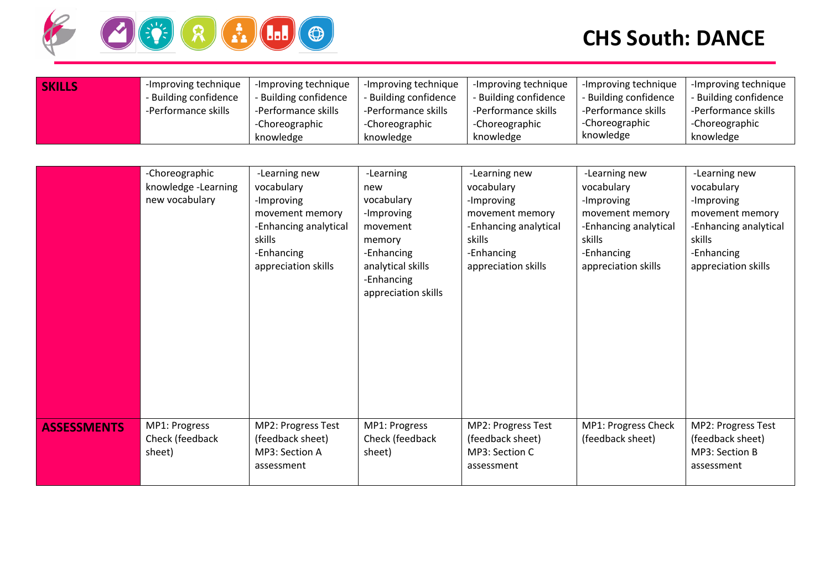

| <b>SKILLS</b> | -Improving technique  | -Improving technique  | -Improving technique  | -Improving technique  | -Improving technique  | -Improving technique  |
|---------------|-----------------------|-----------------------|-----------------------|-----------------------|-----------------------|-----------------------|
|               | - Building confidence | - Building confidence | - Building confidence | - Building confidence | - Building confidence | - Building confidence |
|               | -Performance skills   | -Performance skills   | -Performance skills   | -Performance skills   | -Performance skills   | -Performance skills   |
|               |                       | Choreographic         | -Choreographic        | -Choreographic        | -Choreographic        | -Choreographic        |
|               |                       | knowledge             | knowledge             | knowledge             | knowledge             | knowledge             |

|                    | -Choreographic      | -Learning new         | -Learning           | -Learning new         | -Learning new         | -Learning new         |
|--------------------|---------------------|-----------------------|---------------------|-----------------------|-----------------------|-----------------------|
|                    | knowledge -Learning | vocabulary            | new                 | vocabulary            | vocabulary            | vocabulary            |
|                    | new vocabulary      | -Improving            | vocabulary          | -Improving            | -Improving            | -Improving            |
|                    |                     | movement memory       | -Improving          | movement memory       | movement memory       | movement memory       |
|                    |                     | -Enhancing analytical | movement            | -Enhancing analytical | -Enhancing analytical | -Enhancing analytical |
|                    |                     | skills                | memory              | skills                | skills                | skills                |
|                    |                     | -Enhancing            | -Enhancing          | -Enhancing            | -Enhancing            | -Enhancing            |
|                    |                     | appreciation skills   | analytical skills   | appreciation skills   | appreciation skills   | appreciation skills   |
|                    |                     |                       | -Enhancing          |                       |                       |                       |
|                    |                     |                       | appreciation skills |                       |                       |                       |
|                    |                     |                       |                     |                       |                       |                       |
|                    |                     |                       |                     |                       |                       |                       |
|                    |                     |                       |                     |                       |                       |                       |
|                    |                     |                       |                     |                       |                       |                       |
|                    |                     |                       |                     |                       |                       |                       |
|                    |                     |                       |                     |                       |                       |                       |
|                    |                     |                       |                     |                       |                       |                       |
|                    |                     |                       |                     |                       |                       |                       |
|                    | MP1: Progress       | MP2: Progress Test    | MP1: Progress       | MP2: Progress Test    | MP1: Progress Check   | MP2: Progress Test    |
| <b>ASSESSMENTS</b> | Check (feedback     | (feedback sheet)      | Check (feedback     | (feedback sheet)      | (feedback sheet)      | (feedback sheet)      |
|                    | sheet)              | MP3: Section A        | sheet)              | MP3: Section C        |                       | MP3: Section B        |
|                    |                     | assessment            |                     | assessment            |                       | assessment            |
|                    |                     |                       |                     |                       |                       |                       |
|                    |                     |                       |                     |                       |                       |                       |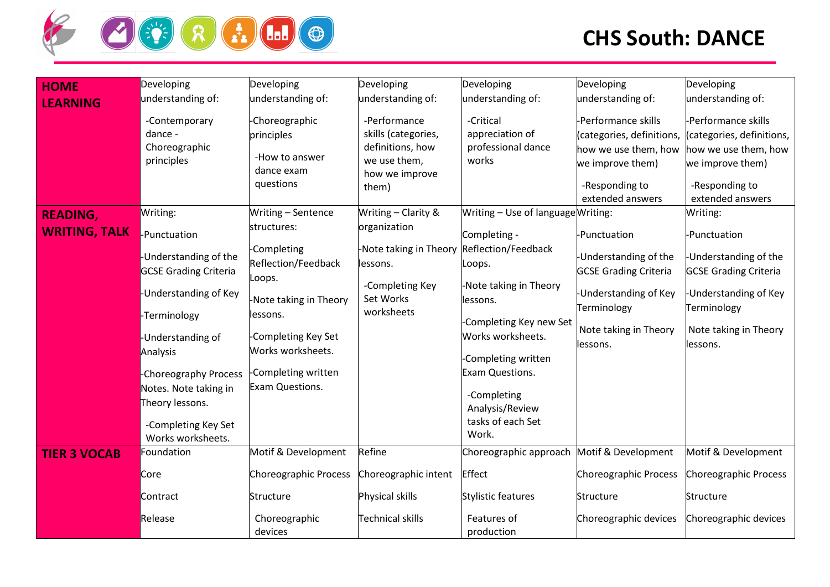

| <b>HOME</b>          | Developing                   | Developing              | Developing              | Developing                                 | Developing                   | Developing                   |
|----------------------|------------------------------|-------------------------|-------------------------|--------------------------------------------|------------------------------|------------------------------|
|                      | understanding of:            | understanding of:       | understanding of:       | understanding of:                          | understanding of:            | understanding of:            |
| <b>LEARNING</b>      |                              |                         |                         |                                            |                              |                              |
|                      | -Contemporary                | -Choreographic          | -Performance            | -Critical                                  | -Performance skills          | -Performance skills          |
|                      | dance -                      | principles              | skills (categories,     | appreciation of                            | (categories, definitions,    | (categories, definitions,    |
|                      | Choreographic                |                         | definitions, how        | professional dance                         | how we use them, how         | how we use them, how         |
|                      | principles                   | -How to answer          | we use them,            | works                                      | we improve them)             | we improve them)             |
|                      |                              | dance exam<br>questions | how we improve          |                                            |                              |                              |
|                      |                              |                         | them)                   |                                            | -Responding to               | -Responding to               |
|                      |                              |                         |                         |                                            | extended answers             | extended answers             |
| <b>READING,</b>      | Writing:                     | Writing - Sentence      | Writing - Clarity &     | Writing - Use of language Writing:         |                              | Writing:                     |
| <b>WRITING, TALK</b> | -Punctuation                 | structures:             | organization            | Completing -                               | -Punctuation                 | -Punctuation                 |
|                      | -Understanding of the        | -Completing             | -Note taking in Theory  | Reflection/Feedback                        | -Understanding of the        | -Understanding of the        |
|                      | <b>GCSE Grading Criteria</b> | Reflection/Feedback     | lessons.                | .oops.                                     | <b>GCSE Grading Criteria</b> | <b>GCSE Grading Criteria</b> |
|                      |                              | Loops.                  | -Completing Key         | Note taking in Theory                      |                              |                              |
|                      | -Understanding of Key        | -Note taking in Theory  | Set Works               | lessons.                                   | <b>Understanding of Key</b>  | <b>Understanding of Key</b>  |
|                      |                              | lessons.                | worksheets              |                                            | Terminology                  | Terminology                  |
|                      | -Terminology                 |                         |                         | Completing Key new Set                     |                              |                              |
|                      | -Understanding of            | -Completing Key Set     |                         | Works worksheets.                          | Note taking in Theory        | Note taking in Theory        |
|                      | Analysis                     | Works worksheets.       |                         |                                            | lessons.                     | lessons.                     |
|                      |                              |                         |                         | Completing written                         |                              |                              |
|                      | -Choreography Process        | -Completing written     |                         | Exam Questions.                            |                              |                              |
|                      | Notes. Note taking in        | Exam Questions.         |                         | -Completing                                |                              |                              |
|                      | Theory lessons.              |                         |                         | Analysis/Review                            |                              |                              |
|                      | -Completing Key Set          |                         |                         | tasks of each Set                          |                              |                              |
|                      | Works worksheets.            |                         |                         | Work.                                      |                              |                              |
| <b>TIER 3 VOCAB</b>  | Foundation                   | Motif & Development     | Refine                  | Choreographic approach Motif & Development |                              | Motif & Development          |
|                      | Core                         | Choreographic Process   | Choreographic intent    | Effect                                     | Choreographic Process        | Choreographic Process        |
|                      |                              |                         |                         |                                            |                              |                              |
|                      | Contract                     | Structure               | Physical skills         | <b>Stylistic features</b>                  | <b>Structure</b>             | Structure                    |
|                      | Release                      | Choreographic           | <b>Technical skills</b> | Features of                                | Choreographic devices        | Choreographic devices        |
|                      |                              | devices                 |                         | production                                 |                              |                              |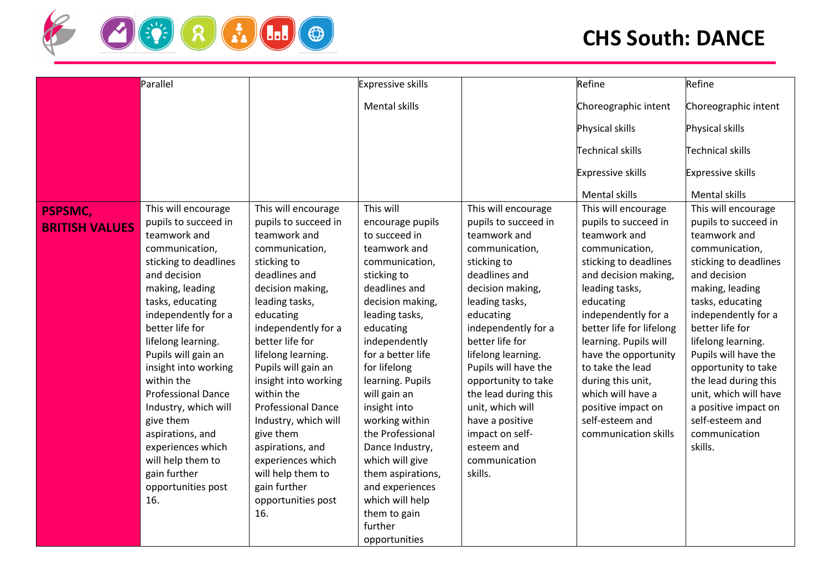

|                       | Parallel                  |                           | <b>Expressive skills</b> |                      | Refine                   | Refine                   |
|-----------------------|---------------------------|---------------------------|--------------------------|----------------------|--------------------------|--------------------------|
|                       |                           |                           |                          |                      |                          |                          |
|                       |                           |                           | <b>Mental skills</b>     |                      | Choreographic intent     | Choreographic intent     |
|                       |                           |                           |                          |                      | Physical skills          | Physical skills          |
|                       |                           |                           |                          |                      | <b>Technical skills</b>  | <b>Technical skills</b>  |
|                       |                           |                           |                          |                      | <b>Expressive skills</b> | <b>Expressive skills</b> |
|                       |                           |                           |                          |                      | Mental skills            | <b>Mental skills</b>     |
| <b>PSPSMC,</b>        | This will encourage       | This will encourage       | This will                | This will encourage  | This will encourage      | This will encourage      |
| <b>BRITISH VALUES</b> | pupils to succeed in      | pupils to succeed in      | encourage pupils         | pupils to succeed in | pupils to succeed in     | pupils to succeed in     |
|                       | teamwork and              | teamwork and              | to succeed in            | teamwork and         | teamwork and             | teamwork and             |
|                       | communication,            | communication,            | teamwork and             | communication,       | communication,           | communication,           |
|                       | sticking to deadlines     | sticking to               | communication,           | sticking to          | sticking to deadlines    | sticking to deadlines    |
|                       | and decision              | deadlines and             | sticking to              | deadlines and        | and decision making,     | and decision             |
|                       | making, leading           | decision making,          | deadlines and            | decision making,     | leading tasks,           | making, leading          |
|                       | tasks, educating          | leading tasks,            | decision making,         | leading tasks,       | educating                | tasks, educating         |
|                       | independently for a       | educating                 | leading tasks,           | educating            | independently for a      | independently for a      |
|                       | better life for           | independently for a       | educating                | independently for a  | better life for lifelong | better life for          |
|                       | lifelong learning.        | better life for           | independently            | better life for      | learning. Pupils will    | lifelong learning.       |
|                       | Pupils will gain an       | lifelong learning.        | for a better life        | lifelong learning.   | have the opportunity     | Pupils will have the     |
|                       | insight into working      | Pupils will gain an       | for lifelong             | Pupils will have the | to take the lead         | opportunity to take      |
|                       | within the                | insight into working      | learning. Pupils         | opportunity to take  | during this unit,        | the lead during this     |
|                       | <b>Professional Dance</b> | within the                | will gain an             | the lead during this | which will have a        | unit, which will have    |
|                       | Industry, which will      | <b>Professional Dance</b> | insight into             | unit, which will     | positive impact on       | a positive impact on     |
|                       | give them                 | Industry, which will      | working within           | have a positive      | self-esteem and          | self-esteem and          |
|                       | aspirations, and          | give them                 | the Professional         | impact on self-      | communication skills     | communication            |
|                       | experiences which         | aspirations, and          | Dance Industry,          | esteem and           |                          | skills.                  |
|                       | will help them to         | experiences which         | which will give          | communication        |                          |                          |
|                       | gain further              | will help them to         | them aspirations,        | skills.              |                          |                          |
|                       | opportunities post        | gain further              | and experiences          |                      |                          |                          |
|                       | 16.                       | opportunities post        | which will help          |                      |                          |                          |
|                       |                           | 16.                       | them to gain<br>further  |                      |                          |                          |
|                       |                           |                           |                          |                      |                          |                          |
|                       |                           |                           | opportunities            |                      |                          |                          |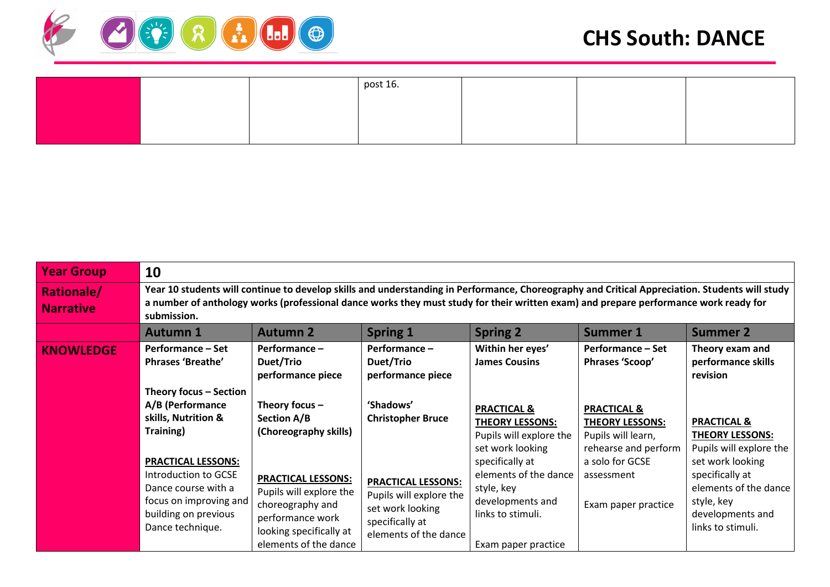

|  | post 16. |  |  |
|--|----------|--|--|
|  |          |  |  |
|  |          |  |  |
|  |          |  |  |

| <b>Year Group</b>                     | 10                                                                                                                                                                                                                                                                                                    |                                                                                                                                                  |                                                                                                                      |                                                                                                                        |                                                                                                |                                                                                                                     |  |  |
|---------------------------------------|-------------------------------------------------------------------------------------------------------------------------------------------------------------------------------------------------------------------------------------------------------------------------------------------------------|--------------------------------------------------------------------------------------------------------------------------------------------------|----------------------------------------------------------------------------------------------------------------------|------------------------------------------------------------------------------------------------------------------------|------------------------------------------------------------------------------------------------|---------------------------------------------------------------------------------------------------------------------|--|--|
| <b>Rationale/</b><br><b>Narrative</b> | Year 10 students will continue to develop skills and understanding in Performance, Choreography and Critical Appreciation. Students will study<br>a number of anthology works (professional dance works they must study for their written exam) and prepare performance work ready for<br>submission. |                                                                                                                                                  |                                                                                                                      |                                                                                                                        |                                                                                                |                                                                                                                     |  |  |
|                                       | <b>Autumn 1</b>                                                                                                                                                                                                                                                                                       | <b>Autumn 2</b>                                                                                                                                  | <b>Spring 1</b>                                                                                                      | <b>Spring 2</b>                                                                                                        | <b>Summer 1</b>                                                                                | <b>Summer 2</b>                                                                                                     |  |  |
| <b>KNOWLEDGE</b>                      | <b>Performance – Set</b><br><b>Phrases 'Breathe'</b>                                                                                                                                                                                                                                                  | Performance-<br>Duet/Trio<br>performance piece                                                                                                   | Performance-<br>Duet/Trio<br>performance piece                                                                       | Within her eyes'<br><b>James Cousins</b>                                                                               | <b>Performance – Set</b><br>Phrases 'Scoop'                                                    | Theory exam and<br>performance skills<br>revision                                                                   |  |  |
|                                       | Theory focus - Section<br>A/B (Performance<br>skills, Nutrition &<br>Training)                                                                                                                                                                                                                        | Theory focus $-$<br>Section A/B<br>(Choreography skills)                                                                                         | 'Shadows'<br><b>Christopher Bruce</b>                                                                                | <b>PRACTICAL &amp;</b><br><b>THEORY LESSONS:</b><br>Pupils will explore the<br>set work looking                        | <b>PRACTICAL &amp;</b><br><b>THEORY LESSONS:</b><br>Pupils will learn,<br>rehearse and perform | <b>PRACTICAL &amp;</b><br>THEORY LESSONS:<br>Pupils will explore the                                                |  |  |
|                                       | <b>PRACTICAL LESSONS:</b><br>Introduction to GCSE<br>Dance course with a<br>focus on improving and<br>building on previous<br>Dance technique.                                                                                                                                                        | <b>PRACTICAL LESSONS:</b><br>Pupils will explore the<br>choreography and<br>performance work<br>looking specifically at<br>elements of the dance | <b>PRACTICAL LESSONS:</b><br>Pupils will explore the<br>set work looking<br>specifically at<br>elements of the dance | specifically at<br>elements of the dance<br>style, key<br>developments and<br>links to stimuli.<br>Exam paper practice | a solo for GCSE<br>assessment<br>Exam paper practice                                           | set work looking<br>specifically at<br>elements of the dance<br>style, key<br>developments and<br>links to stimuli. |  |  |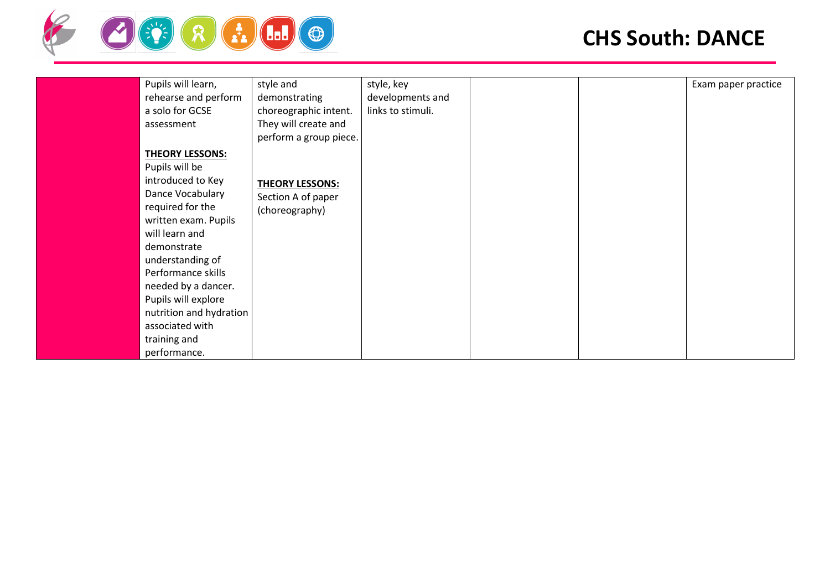

| Pupils will learn,      | style and              | style, key        |  | Exam paper practice |
|-------------------------|------------------------|-------------------|--|---------------------|
| rehearse and perform    | demonstrating          | developments and  |  |                     |
| a solo for GCSE         | choreographic intent.  | links to stimuli. |  |                     |
| assessment              | They will create and   |                   |  |                     |
|                         | perform a group piece. |                   |  |                     |
| <b>THEORY LESSONS:</b>  |                        |                   |  |                     |
| Pupils will be          |                        |                   |  |                     |
| introduced to Key       | <b>THEORY LESSONS:</b> |                   |  |                     |
| Dance Vocabulary        | Section A of paper     |                   |  |                     |
| required for the        | (choreography)         |                   |  |                     |
| written exam. Pupils    |                        |                   |  |                     |
| will learn and          |                        |                   |  |                     |
| demonstrate             |                        |                   |  |                     |
| understanding of        |                        |                   |  |                     |
| Performance skills      |                        |                   |  |                     |
| needed by a dancer.     |                        |                   |  |                     |
| Pupils will explore     |                        |                   |  |                     |
| nutrition and hydration |                        |                   |  |                     |
| associated with         |                        |                   |  |                     |
| training and            |                        |                   |  |                     |
| performance.            |                        |                   |  |                     |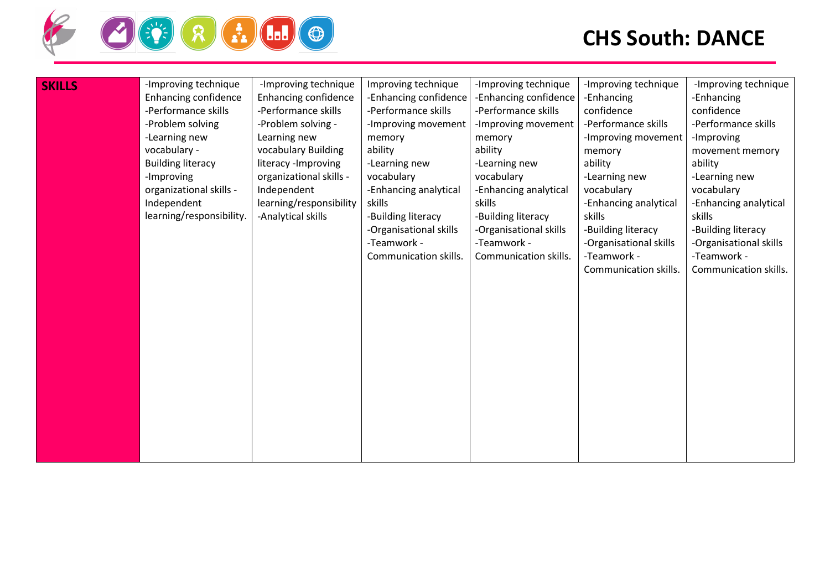

| <b>SKILLS</b> | -Improving technique        | -Improving technique        | Improving technique    | -Improving technique   | -Improving technique   | -Improving technique   |
|---------------|-----------------------------|-----------------------------|------------------------|------------------------|------------------------|------------------------|
|               | <b>Enhancing confidence</b> | <b>Enhancing confidence</b> | -Enhancing confidence  | -Enhancing confidence  | -Enhancing             | -Enhancing             |
|               | -Performance skills         | -Performance skills         | -Performance skills    | -Performance skills    | confidence             | confidence             |
|               | -Problem solving            | -Problem solving -          | -Improving movement    | -Improving movement    | -Performance skills    | -Performance skills    |
|               | -Learning new               | Learning new                | memory                 | memory                 | -Improving movement    | -Improving             |
|               | vocabulary -                | vocabulary Building         | ability                | ability                | memory                 | movement memory        |
|               | <b>Building literacy</b>    | literacy - Improving        | -Learning new          | -Learning new          | ability                | ability                |
|               | -Improving                  | organizational skills -     | vocabulary             | vocabulary             | -Learning new          | -Learning new          |
|               | organizational skills -     | Independent                 | -Enhancing analytical  | -Enhancing analytical  | vocabulary             | vocabulary             |
|               | Independent                 | learning/responsibility     | skills                 | skills                 | -Enhancing analytical  | -Enhancing analytical  |
|               | learning/responsibility.    | -Analytical skills          | -Building literacy     | -Building literacy     | skills                 | skills                 |
|               |                             |                             | -Organisational skills | -Organisational skills | -Building literacy     | -Building literacy     |
|               |                             |                             | -Teamwork -            | -Teamwork -            | -Organisational skills | -Organisational skills |
|               |                             |                             | Communication skills.  | Communication skills.  | -Teamwork -            | -Teamwork -            |
|               |                             |                             |                        |                        | Communication skills.  | Communication skills.  |
|               |                             |                             |                        |                        |                        |                        |
|               |                             |                             |                        |                        |                        |                        |
|               |                             |                             |                        |                        |                        |                        |
|               |                             |                             |                        |                        |                        |                        |
|               |                             |                             |                        |                        |                        |                        |
|               |                             |                             |                        |                        |                        |                        |
|               |                             |                             |                        |                        |                        |                        |
|               |                             |                             |                        |                        |                        |                        |
|               |                             |                             |                        |                        |                        |                        |
|               |                             |                             |                        |                        |                        |                        |
|               |                             |                             |                        |                        |                        |                        |
|               |                             |                             |                        |                        |                        |                        |
|               |                             |                             |                        |                        |                        |                        |
|               |                             |                             |                        |                        |                        |                        |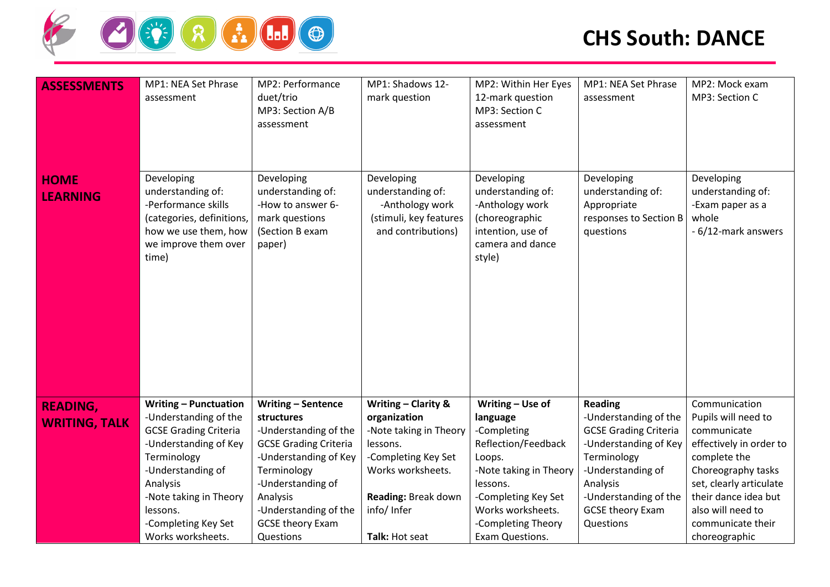

| <b>ASSESSMENTS</b>             | MP1: NEA Set Phrase<br>assessment                                                                                                            | MP2: Performance<br>duet/trio<br>MP3: Section A/B<br>assessment                                     | MP1: Shadows 12-<br>mark question                                                                  | MP2: Within Her Eyes<br>12-mark question<br>MP3: Section C<br>assessment                                                | MP1: NEA Set Phrase<br>assessment                                                     | MP2: Mock exam<br>MP3: Section C                                                    |
|--------------------------------|----------------------------------------------------------------------------------------------------------------------------------------------|-----------------------------------------------------------------------------------------------------|----------------------------------------------------------------------------------------------------|-------------------------------------------------------------------------------------------------------------------------|---------------------------------------------------------------------------------------|-------------------------------------------------------------------------------------|
| <b>HOME</b><br><b>LEARNING</b> | Developing<br>understanding of:<br>-Performance skills<br>(categories, definitions,<br>how we use them, how<br>we improve them over<br>time) | Developing<br>understanding of:<br>-How to answer 6-<br>mark questions<br>(Section B exam<br>paper) | Developing<br>understanding of:<br>-Anthology work<br>(stimuli, key features<br>and contributions) | Developing<br>understanding of:<br>-Anthology work<br>(choreographic<br>intention, use of<br>camera and dance<br>style) | Developing<br>understanding of:<br>Appropriate<br>responses to Section B<br>questions | Developing<br>understanding of:<br>-Exam paper as a<br>whole<br>- 6/12-mark answers |
| <b>READING,</b>                | <b>Writing - Punctuation</b>                                                                                                                 | <b>Writing - Sentence</b>                                                                           | <b>Writing - Clarity &amp;</b>                                                                     | Writing - Use of                                                                                                        | <b>Reading</b>                                                                        | Communication                                                                       |
| <b>WRITING, TALK</b>           | -Understanding of the                                                                                                                        | structures                                                                                          | organization                                                                                       | language                                                                                                                | -Understanding of the                                                                 | Pupils will need to                                                                 |
|                                | <b>GCSE Grading Criteria</b><br>-Understanding of Key                                                                                        | -Understanding of the<br><b>GCSE Grading Criteria</b>                                               | -Note taking in Theory<br>lessons.                                                                 | -Completing<br>Reflection/Feedback                                                                                      | <b>GCSE Grading Criteria</b><br>-Understanding of Key                                 | communicate<br>effectively in order to                                              |
|                                | Terminology                                                                                                                                  | -Understanding of Key                                                                               | -Completing Key Set                                                                                | Loops.                                                                                                                  | Terminology                                                                           | complete the                                                                        |
|                                | -Understanding of                                                                                                                            | Terminology                                                                                         | Works worksheets.                                                                                  | -Note taking in Theory                                                                                                  | -Understanding of                                                                     | Choreography tasks                                                                  |
|                                | Analysis                                                                                                                                     | -Understanding of                                                                                   |                                                                                                    | lessons.                                                                                                                | Analysis                                                                              | set, clearly articulate                                                             |
|                                | -Note taking in Theory                                                                                                                       | Analysis                                                                                            | Reading: Break down                                                                                | -Completing Key Set                                                                                                     | -Understanding of the                                                                 | their dance idea but                                                                |
|                                | lessons.                                                                                                                                     | -Understanding of the                                                                               | info/Infer                                                                                         | Works worksheets.                                                                                                       | <b>GCSE theory Exam</b>                                                               | also will need to                                                                   |
|                                | -Completing Key Set                                                                                                                          | <b>GCSE theory Exam</b>                                                                             |                                                                                                    | -Completing Theory                                                                                                      | Questions                                                                             | communicate their                                                                   |
|                                | Works worksheets.                                                                                                                            | Questions                                                                                           | Talk: Hot seat                                                                                     | Exam Questions.                                                                                                         |                                                                                       | choreographic                                                                       |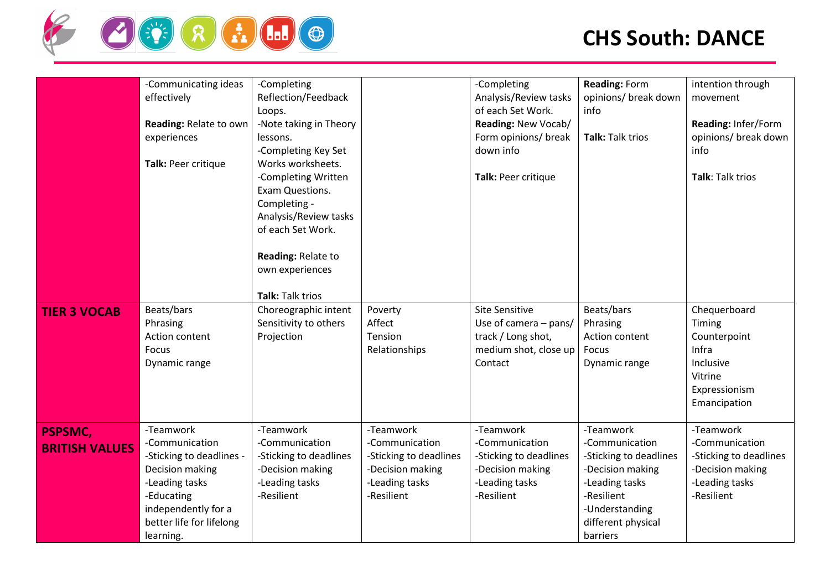

|                                         | -Communicating ideas<br>effectively<br>Reading: Relate to own<br>experiences<br>Talk: Peer critique                                                                        | -Completing<br>Reflection/Feedback<br>Loops.<br>-Note taking in Theory<br>lessons.<br>-Completing Key Set<br>Works worksheets.<br>-Completing Written<br>Exam Questions.<br>Completing -<br>Analysis/Review tasks<br>of each Set Work.<br>Reading: Relate to<br>own experiences<br>Talk: Talk trios |                                                                                                           | -Completing<br>Analysis/Review tasks<br>of each Set Work.<br>Reading: New Vocab/<br>Form opinions/ break<br>down info<br>Talk: Peer critique | Reading: Form<br>opinions/ break down<br>info<br>Talk: Talk trios                                                                                             | intention through<br>movement<br>Reading: Infer/Form<br>opinions/ break down<br>info<br>Talk: Talk trios  |
|-----------------------------------------|----------------------------------------------------------------------------------------------------------------------------------------------------------------------------|-----------------------------------------------------------------------------------------------------------------------------------------------------------------------------------------------------------------------------------------------------------------------------------------------------|-----------------------------------------------------------------------------------------------------------|----------------------------------------------------------------------------------------------------------------------------------------------|---------------------------------------------------------------------------------------------------------------------------------------------------------------|-----------------------------------------------------------------------------------------------------------|
| <b>TIER 3 VOCAB</b>                     | Beats/bars<br>Phrasing<br>Action content<br>Focus<br>Dynamic range                                                                                                         | Choreographic intent<br>Sensitivity to others<br>Projection                                                                                                                                                                                                                                         | Poverty<br>Affect<br>Tension<br>Relationships                                                             | <b>Site Sensitive</b><br>Use of camera - pans/<br>track / Long shot,<br>medium shot, close up<br>Contact                                     | Beats/bars<br>Phrasing<br>Action content<br>Focus<br>Dynamic range                                                                                            | Chequerboard<br>Timing<br>Counterpoint<br>Infra<br>Inclusive<br>Vitrine<br>Expressionism<br>Emancipation  |
| <b>PSPSMC,</b><br><b>BRITISH VALUES</b> | -Teamwork<br>-Communication<br>-Sticking to deadlines -<br>Decision making<br>-Leading tasks<br>-Educating<br>independently for a<br>better life for lifelong<br>learning. | -Teamwork<br>-Communication<br>-Sticking to deadlines<br>-Decision making<br>-Leading tasks<br>-Resilient                                                                                                                                                                                           | -Teamwork<br>-Communication<br>-Sticking to deadlines<br>-Decision making<br>-Leading tasks<br>-Resilient | -Teamwork<br>-Communication<br>-Sticking to deadlines<br>-Decision making<br>-Leading tasks<br>-Resilient                                    | -Teamwork<br>-Communication<br>-Sticking to deadlines<br>-Decision making<br>-Leading tasks<br>-Resilient<br>-Understanding<br>different physical<br>barriers | -Teamwork<br>-Communication<br>-Sticking to deadlines<br>-Decision making<br>-Leading tasks<br>-Resilient |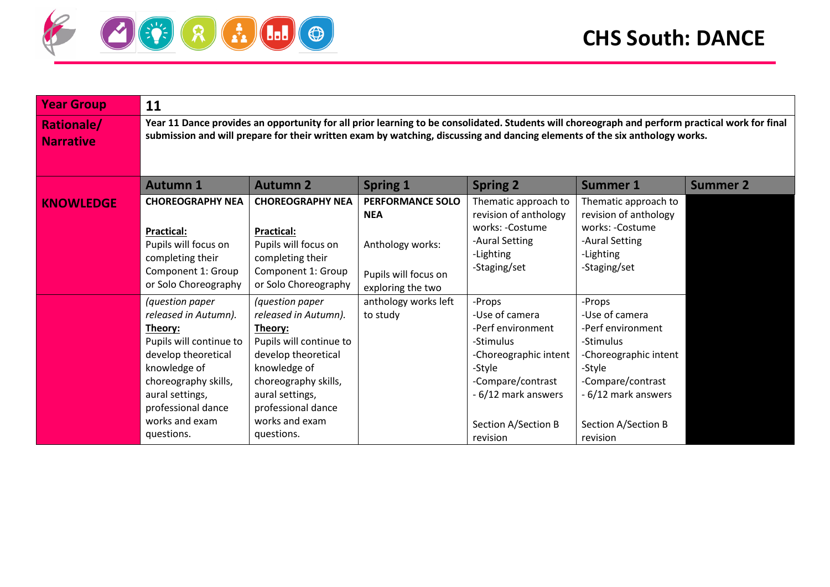

| <b>Year Group</b>                     | 11                                                                                                                                                                                                                                                                             |                                                                                                                                                                                                                       |                                                                                                        |                                                                                                                                                                              |                                                                                                                                                                              |                 |  |  |
|---------------------------------------|--------------------------------------------------------------------------------------------------------------------------------------------------------------------------------------------------------------------------------------------------------------------------------|-----------------------------------------------------------------------------------------------------------------------------------------------------------------------------------------------------------------------|--------------------------------------------------------------------------------------------------------|------------------------------------------------------------------------------------------------------------------------------------------------------------------------------|------------------------------------------------------------------------------------------------------------------------------------------------------------------------------|-----------------|--|--|
| <b>Rationale/</b><br><b>Narrative</b> | Year 11 Dance provides an opportunity for all prior learning to be consolidated. Students will choreograph and perform practical work for final<br>submission and will prepare for their written exam by watching, discussing and dancing elements of the six anthology works. |                                                                                                                                                                                                                       |                                                                                                        |                                                                                                                                                                              |                                                                                                                                                                              |                 |  |  |
|                                       | <b>Autumn 1</b>                                                                                                                                                                                                                                                                | <b>Autumn 2</b>                                                                                                                                                                                                       | <b>Spring 1</b>                                                                                        | <b>Spring 2</b>                                                                                                                                                              | <b>Summer 1</b>                                                                                                                                                              | <b>Summer 2</b> |  |  |
| <b>KNOWLEDGE</b>                      | <b>CHOREOGRAPHY NEA</b><br><b>Practical:</b><br>Pupils will focus on<br>completing their<br>Component 1: Group<br>or Solo Choreography                                                                                                                                         | <b>CHOREOGRAPHY NEA</b><br><b>Practical:</b><br>Pupils will focus on<br>completing their<br>Component 1: Group<br>or Solo Choreography                                                                                | <b>PERFORMANCE SOLO</b><br><b>NEA</b><br>Anthology works:<br>Pupils will focus on<br>exploring the two | Thematic approach to<br>revision of anthology<br>works: -Costume<br>-Aural Setting<br>-Lighting<br>-Staging/set                                                              | Thematic approach to<br>revision of anthology<br>works: -Costume<br>-Aural Setting<br>-Lighting<br>-Staging/set                                                              |                 |  |  |
|                                       | (question paper<br>released in Autumn).<br>Theory:<br>Pupils will continue to<br>develop theoretical<br>knowledge of<br>choreography skills,<br>aural settings,<br>professional dance<br>works and exam<br>questions.                                                          | (question paper<br>released in Autumn).<br>Theory:<br>Pupils will continue to<br>develop theoretical<br>knowledge of<br>choreography skills,<br>aural settings,<br>professional dance<br>works and exam<br>questions. | anthology works left<br>to study                                                                       | -Props<br>-Use of camera<br>-Perf environment<br>-Stimulus<br>-Choreographic intent<br>-Style<br>-Compare/contrast<br>- 6/12 mark answers<br>Section A/Section B<br>revision | -Props<br>-Use of camera<br>-Perf environment<br>-Stimulus<br>-Choreographic intent<br>-Style<br>-Compare/contrast<br>- 6/12 mark answers<br>Section A/Section B<br>revision |                 |  |  |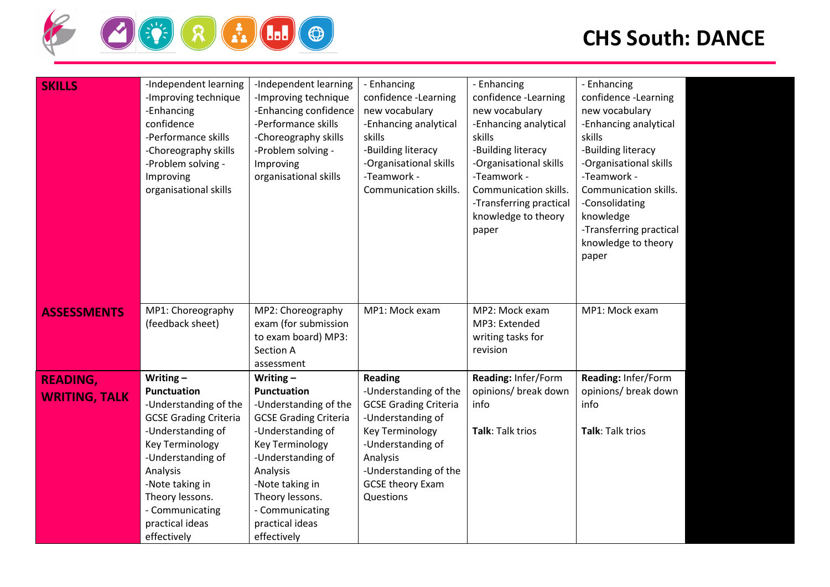

| <b>SKILLS</b>                           | -Independent learning<br>-Improving technique<br>-Enhancing<br>confidence<br>-Performance skills<br>-Choreography skills<br>-Problem solving -<br>Improving<br>organisational skills                                                                                  | -Independent learning<br>-Improving technique<br>-Enhancing confidence<br>-Performance skills<br>-Choreography skills<br>-Problem solving -<br>Improving<br>organisational skills                                                                              | - Enhancing<br>confidence -Learning<br>new vocabulary<br>-Enhancing analytical<br>skills<br>-Building literacy<br>-Organisational skills<br>-Teamwork -<br>Communication skills.                                  | - Enhancing<br>confidence -Learning<br>new vocabulary<br>-Enhancing analytical<br>skills<br>-Building literacy<br>-Organisational skills<br>-Teamwork -<br>Communication skills.<br>-Transferring practical<br>knowledge to theory<br>paper | - Enhancing<br>confidence -Learning<br>new vocabulary<br>-Enhancing analytical<br>skills<br>-Building literacy<br>-Organisational skills<br>-Teamwork -<br>Communication skills.<br>-Consolidating<br>knowledge<br>-Transferring practical<br>knowledge to theory<br>paper |  |
|-----------------------------------------|-----------------------------------------------------------------------------------------------------------------------------------------------------------------------------------------------------------------------------------------------------------------------|----------------------------------------------------------------------------------------------------------------------------------------------------------------------------------------------------------------------------------------------------------------|-------------------------------------------------------------------------------------------------------------------------------------------------------------------------------------------------------------------|---------------------------------------------------------------------------------------------------------------------------------------------------------------------------------------------------------------------------------------------|----------------------------------------------------------------------------------------------------------------------------------------------------------------------------------------------------------------------------------------------------------------------------|--|
| <b>ASSESSMENTS</b>                      | MP1: Choreography<br>(feedback sheet)                                                                                                                                                                                                                                 | MP2: Choreography<br>exam (for submission<br>to exam board) MP3:<br>Section A<br>assessment                                                                                                                                                                    | MP1: Mock exam                                                                                                                                                                                                    | MP2: Mock exam<br>MP3: Extended<br>writing tasks for<br>revision                                                                                                                                                                            | MP1: Mock exam                                                                                                                                                                                                                                                             |  |
| <b>READING,</b><br><b>WRITING, TALK</b> | Writing $-$<br><b>Punctuation</b><br>-Understanding of the<br><b>GCSE Grading Criteria</b><br>-Understanding of<br><b>Key Terminology</b><br>-Understanding of<br>Analysis<br>-Note taking in<br>Theory lessons.<br>- Communicating<br>practical ideas<br>effectively | Writing $-$<br>Punctuation<br>-Understanding of the<br><b>GCSE Grading Criteria</b><br>-Understanding of<br><b>Key Terminology</b><br>-Understanding of<br>Analysis<br>-Note taking in<br>Theory lessons.<br>- Communicating<br>practical ideas<br>effectively | <b>Reading</b><br>-Understanding of the<br><b>GCSE Grading Criteria</b><br>-Understanding of<br>Key Terminology<br>-Understanding of<br>Analysis<br>-Understanding of the<br><b>GCSE theory Exam</b><br>Questions | Reading: Infer/Form<br>opinions/ break down<br>info<br>Talk: Talk trios                                                                                                                                                                     | Reading: Infer/Form<br>opinions/ break down<br>info<br>Talk: Talk trios                                                                                                                                                                                                    |  |